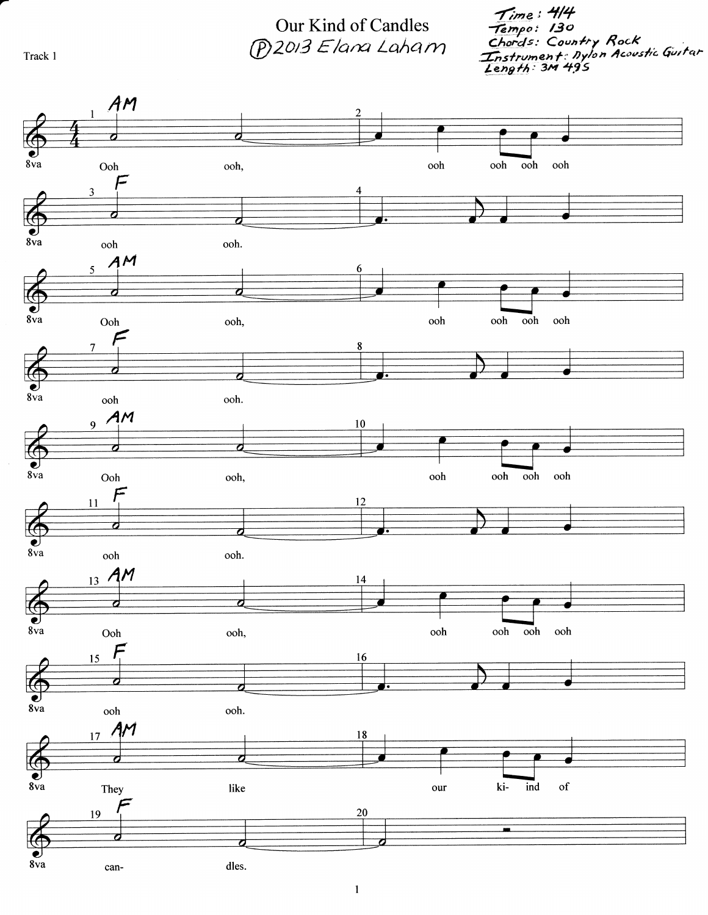Time : 4/4<br>Tempo : 130<br>Chords: Country Rock<br>Instrument: Dylon Acoustic Guitar<br>Length: 3M 495

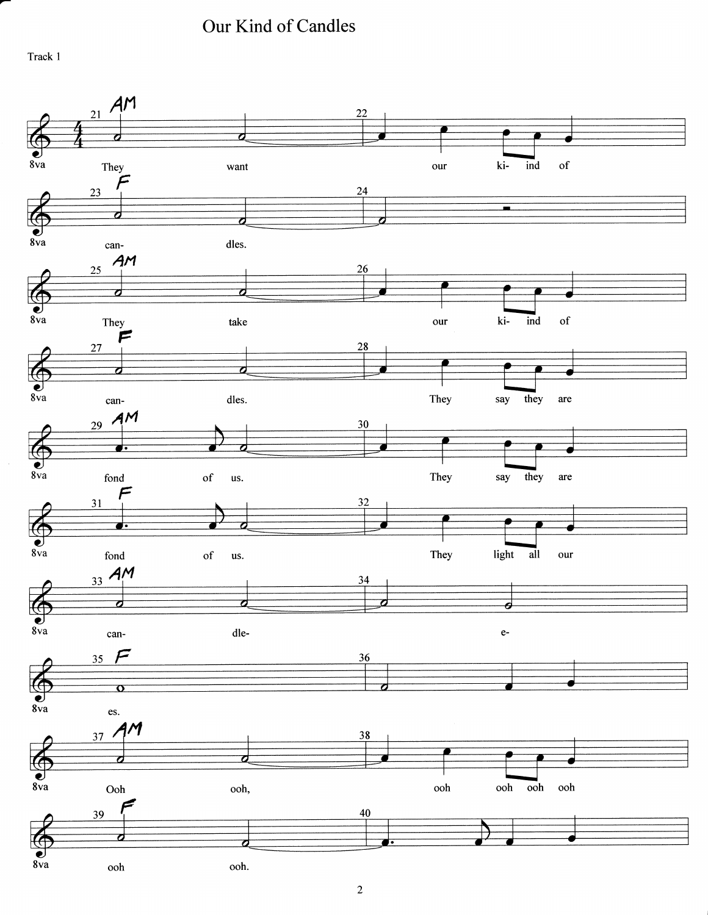Our Kind of Candles

Track 1

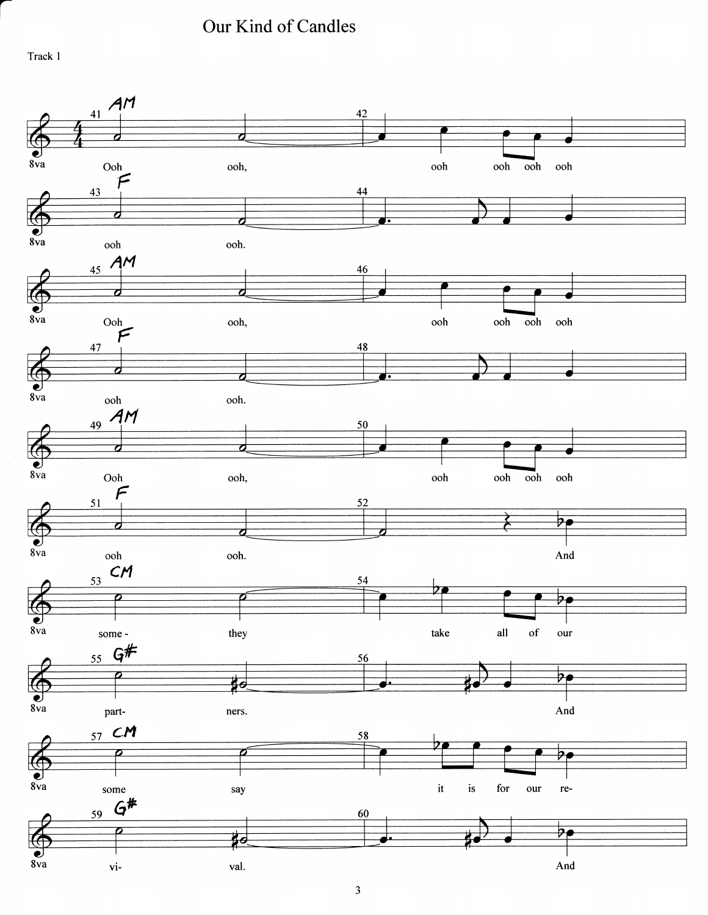Our Kind of Candles

Track 1

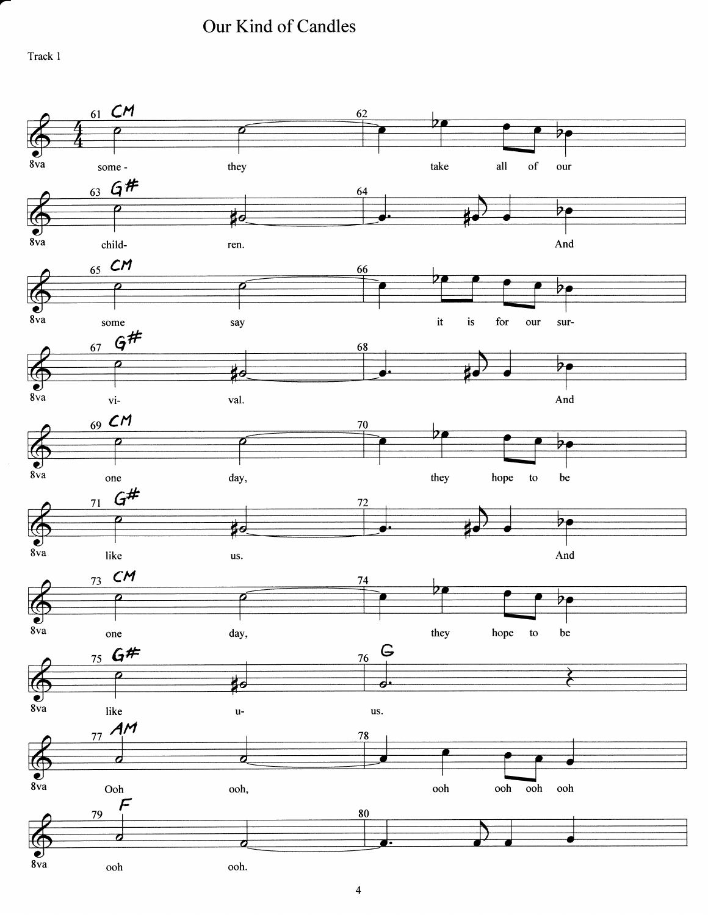Our Kind of Candles

Track I

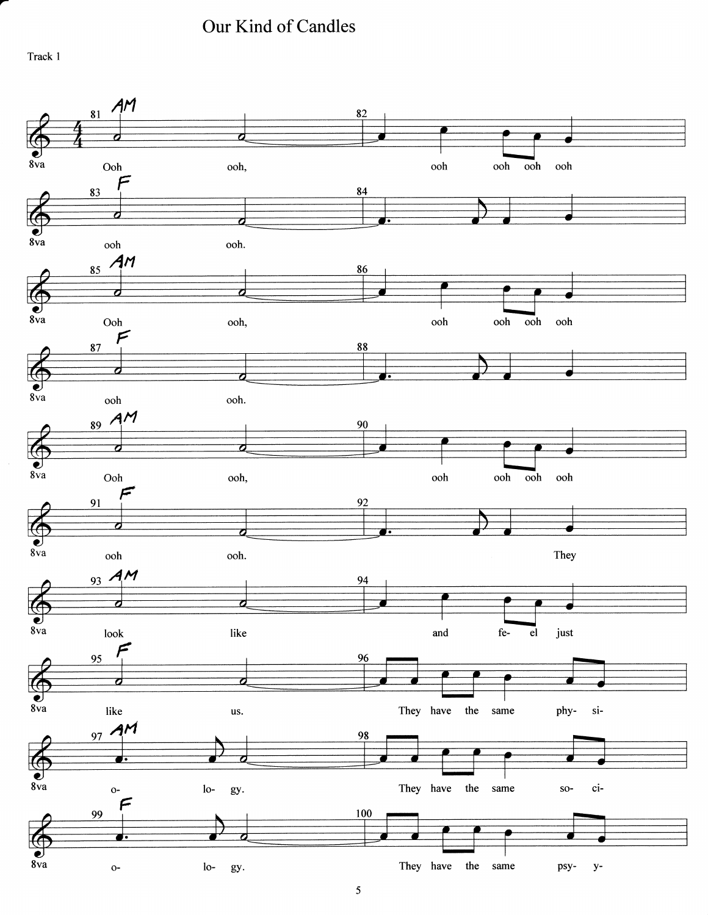Our Kind of Candles

Track 1

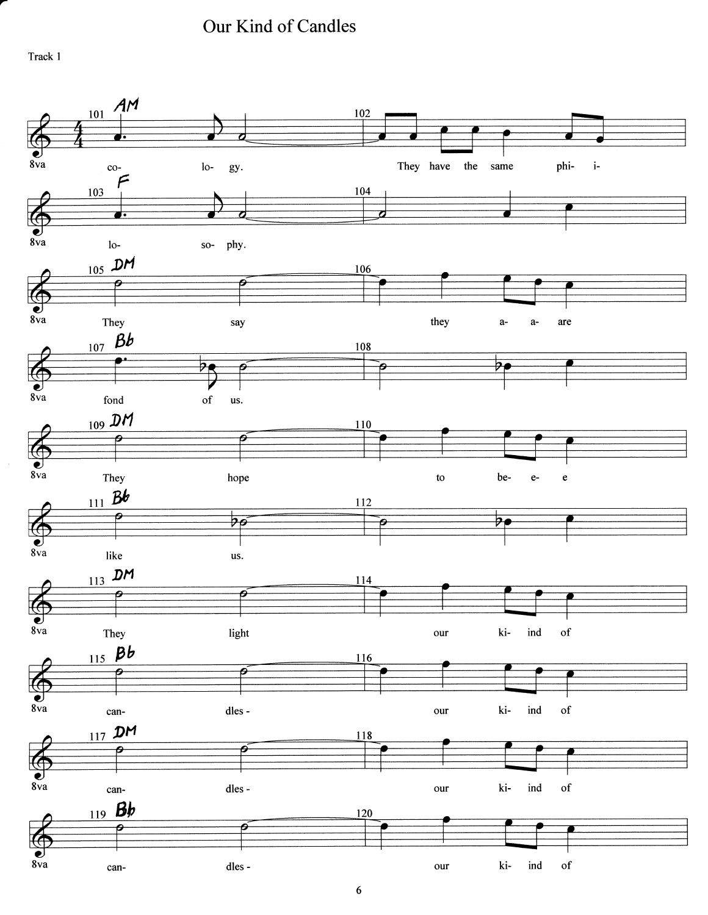Our Kind of Candles

Track 1